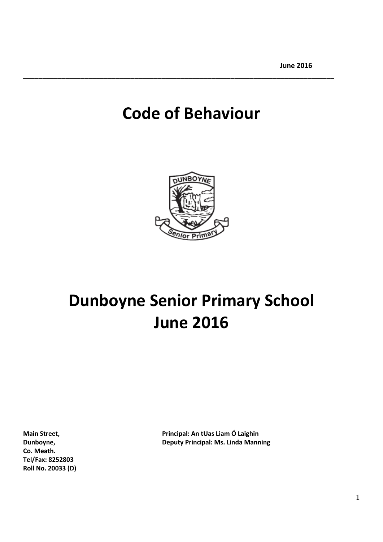# **Code of Behaviour**

**\_\_\_\_\_\_\_\_\_\_\_\_\_\_\_\_\_\_\_\_\_\_\_\_\_\_\_\_\_\_\_\_\_\_\_\_\_\_\_\_\_\_\_\_\_\_\_\_\_\_\_\_\_\_\_\_\_\_\_\_\_\_\_\_\_\_\_\_\_\_\_\_\_\_\_\_\_\_\_\_\_**



# **Dunboyne Senior Primary School June 2016**

**Co. Meath. Tel/Fax: 8252803 Roll No. 20033 (D)**

**Main Street, National: An tUas Liam Ó Laighin Dunboyne, Deputy Principal: Ms. Linda Manning**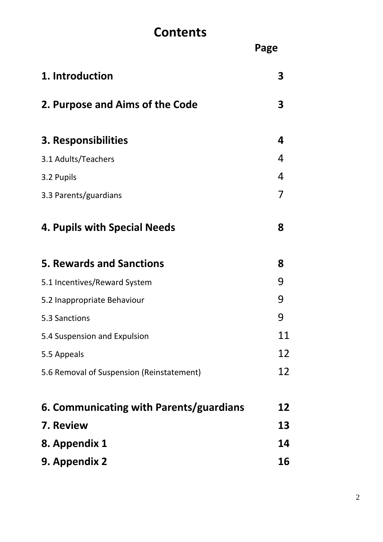## **Contents**

|                                           | Page      |
|-------------------------------------------|-----------|
| 1. Introduction                           | 3         |
| 2. Purpose and Aims of the Code           | 3         |
| 3. Responsibilities                       | 4         |
| 3.1 Adults/Teachers                       | 4         |
| 3.2 Pupils                                | 4         |
| 3.3 Parents/guardians                     | 7         |
| 4. Pupils with Special Needs              | 8         |
| <b>5. Rewards and Sanctions</b>           | 8         |
| 5.1 Incentives/Reward System              | 9         |
| 5.2 Inappropriate Behaviour               | 9         |
| 5.3 Sanctions                             | 9         |
| 5.4 Suspension and Expulsion              | 11        |
| 5.5 Appeals                               | 12        |
| 5.6 Removal of Suspension (Reinstatement) | 12        |
| 6. Communicating with Parents/guardians   | 12        |
| 7. Review                                 | 13        |
| 8. Appendix 1                             | 14        |
| 9. Appendix 2                             | <b>16</b> |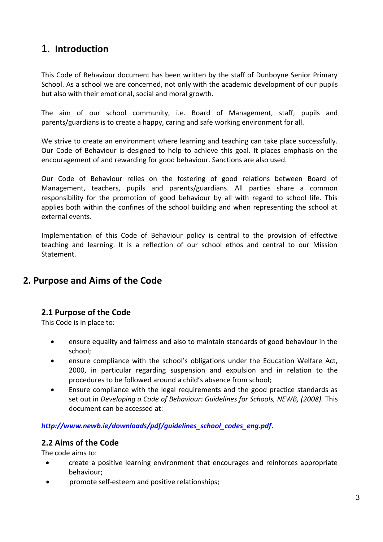## 1. **Introduction**

This Code of Behaviour document has been written by the staff of Dunboyne Senior Primary School. As a school we are concerned, not only with the academic development of our pupils but also with their emotional, social and moral growth.

The aim of our school community, i.e. Board of Management, staff, pupils and parents/guardians is to create a happy, caring and safe working environment for all.

We strive to create an environment where learning and teaching can take place successfully. Our Code of Behaviour is designed to help to achieve this goal. It places emphasis on the encouragement of and rewarding for good behaviour. Sanctions are also used.

Our Code of Behaviour relies on the fostering of good relations between Board of Management, teachers, pupils and parents/guardians. All parties share a common responsibility for the promotion of good behaviour by all with regard to school life. This applies both within the confines of the school building and when representing the school at external events.

Implementation of this Code of Behaviour policy is central to the provision of effective teaching and learning. It is a reflection of our school ethos and central to our Mission Statement.

## **2. Purpose and Aims of the Code**

#### **2.1 Purpose of the Code**

This Code is in place to:

- ensure equality and fairness and also to maintain standards of good behaviour in the school;
- ensure compliance with the school's obligations under the Education Welfare Act, 2000, in particular regarding suspension and expulsion and in relation to the procedures to be followed around a child's absence from school;
- Ensure compliance with the legal requirements and the good practice standards as set out in *Developing a Code of Behaviour: Guidelines for Schools, NEWB, (2008).* This document can be accessed at:

#### *[http://www.newb.ie/downloads/pdf/guidelines\\_school\\_codes\\_eng.pdf](http://www.newb.ie/downloads/pdf/guidelines_school_codes_eng.pdf).*

#### **2.2 Aims of the Code**

The code aims to:

- create a positive learning environment that encourages and reinforces appropriate behaviour;
- promote self-esteem and positive relationships;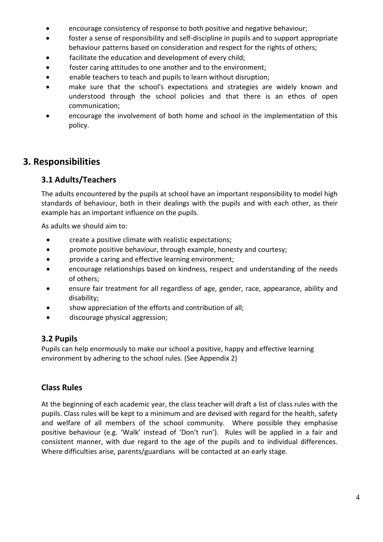- encourage consistency of response to both positive and negative behaviour;
- foster a sense of responsibility and self-discipline in pupils and to support appropriate behaviour patterns based on consideration and respect for the rights of others;
- facilitate the education and development of every child;
- foster caring attitudes to one another and to the environment;
- enable teachers to teach and pupils to learn without disruption;
- make sure that the school's expectations and strategies are widely known and understood through the school policies and that there is an ethos of open communication;
- encourage the involvement of both home and school in the implementation of this policy.

#### **3. Responsibilities**

#### **3.1 Adults/Teachers**

The adults encountered by the pupils at school have an important responsibility to model high standards of behaviour, both in their dealings with the pupils and with each other, as their example has an important influence on the pupils.

As adults we should aim to:

- create a positive climate with realistic expectations;
- promote positive behaviour, through example, honesty and courtesy;
- provide a caring and effective learning environment;
- encourage relationships based on kindness, respect and understanding of the needs of others;
- ensure fair treatment for all regardless of age, gender, race, appearance, ability and disability;
- show appreciation of the efforts and contribution of all;
- discourage physical aggression;

#### **3.2 Pupils**

Pupils can help enormously to make our school a positive, happy and effective learning environment by adhering to the school rules. (See Appendix 2)

#### **Class Rules**

At the beginning of each academic year, the class teacher will draft a list of class rules with the pupils. Class rules will be kept to a minimum and are devised with regard for the health, safety and welfare of all members of the school community. Where possible they emphasise positive behaviour (e.g. 'Walk' instead of 'Don't run'). Rules will be applied in a fair and consistent manner, with due regard to the age of the pupils and to individual differences. Where difficulties arise, parents/guardians will be contacted at an early stage.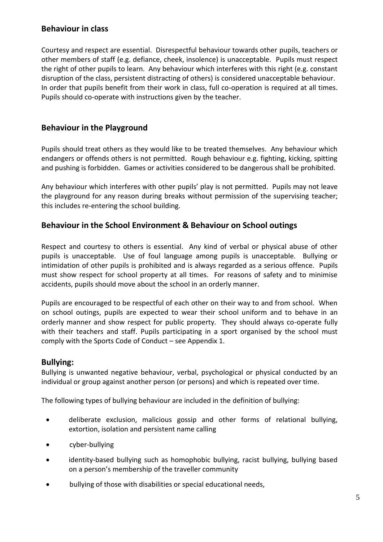#### **Behaviour in class**

Courtesy and respect are essential. Disrespectful behaviour towards other pupils, teachers or other members of staff (e.g. defiance, cheek, insolence) is unacceptable. Pupils must respect the right of other pupils to learn. Any behaviour which interferes with this right (e.g. constant disruption of the class, persistent distracting of others) is considered unacceptable behaviour. In order that pupils benefit from their work in class, full co-operation is required at all times. Pupils should co-operate with instructions given by the teacher.

#### **Behaviour in the Playground**

Pupils should treat others as they would like to be treated themselves. Any behaviour which endangers or offends others is not permitted. Rough behaviour e.g. fighting, kicking, spitting and pushing is forbidden. Games or activities considered to be dangerous shall be prohibited.

Any behaviour which interferes with other pupils' play is not permitted. Pupils may not leave the playground for any reason during breaks without permission of the supervising teacher; this includes re-entering the school building.

#### **Behaviour in the School Environment & Behaviour on School outings**

Respect and courtesy to others is essential. Any kind of verbal or physical abuse of other pupils is unacceptable. Use of foul language among pupils is unacceptable. Bullying or intimidation of other pupils is prohibited and is always regarded as a serious offence. Pupils must show respect for school property at all times. For reasons of safety and to minimise accidents, pupils should move about the school in an orderly manner.

Pupils are encouraged to be respectful of each other on their way to and from school. When on school outings, pupils are expected to wear their school uniform and to behave in an orderly manner and show respect for public property. They should always co-operate fully with their teachers and staff. Pupils participating in a sport organised by the school must comply with the Sports Code of Conduct – see Appendix 1.

#### **Bullying:**

Bullying is unwanted negative behaviour, verbal, psychological or physical conducted by an individual or group against another person (or persons) and which is repeated over time.

The following types of bullying behaviour are included in the definition of bullying:

- deliberate exclusion, malicious gossip and other forms of relational bullying, extortion, isolation and persistent name calling
- cyber-bullying
- identity-based bullying such as homophobic bullying, racist bullying, bullying based on a person's membership of the traveller community
- bullying of those with disabilities or special educational needs,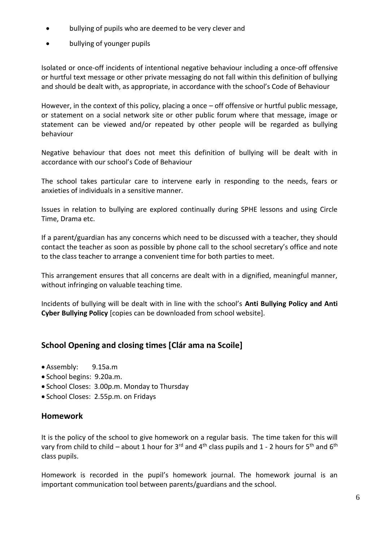- bullying of pupils who are deemed to be very clever and
- bullying of younger pupils

Isolated or once-off incidents of intentional negative behaviour including a once-off offensive or hurtful text message or other private messaging do not fall within this definition of bullying and should be dealt with, as appropriate, in accordance with the school's Code of Behaviour

However, in the context of this policy, placing a once – off offensive or hurtful public message, or statement on a social network site or other public forum where that message, image or statement can be viewed and/or repeated by other people will be regarded as bullying behaviour

Negative behaviour that does not meet this definition of bullying will be dealt with in accordance with our school's Code of Behaviour

The school takes particular care to intervene early in responding to the needs, fears or anxieties of individuals in a sensitive manner.

Issues in relation to bullying are explored continually during SPHE lessons and using Circle Time, Drama etc.

If a parent/guardian has any concerns which need to be discussed with a teacher, they should contact the teacher as soon as possible by phone call to the school secretary's office and note to the class teacher to arrange a convenient time for both parties to meet.

This arrangement ensures that all concerns are dealt with in a dignified, meaningful manner, without infringing on valuable teaching time.

Incidents of bullying will be dealt with in line with the school's **Anti Bullying Policy and Anti Cyber Bullying Policy** [copies can be downloaded from school website].

#### **School Opening and closing times [Clár ama na Scoile]**

- Assembly: 9.15a.m
- School begins: 9.20a.m.
- School Closes: 3.00p.m. Monday to Thursday
- School Closes: 2.55p.m. on Fridays

#### **Homework**

It is the policy of the school to give homework on a regular basis. The time taken for this will vary from child to child – about 1 hour for 3<sup>rd</sup> and 4<sup>th</sup> class pupils and 1 - 2 hours for 5<sup>th</sup> and 6<sup>th</sup> class pupils.

Homework is recorded in the pupil's homework journal. The homework journal is an important communication tool between parents/guardians and the school.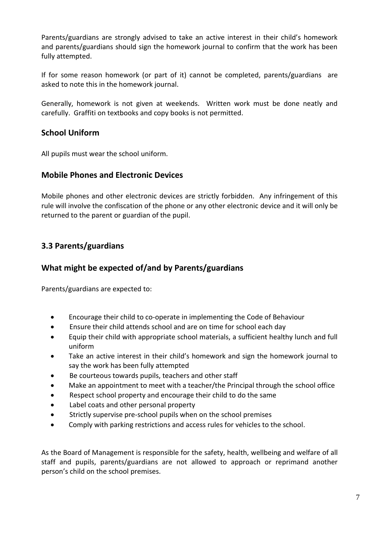Parents/guardians are strongly advised to take an active interest in their child's homework and parents/guardians should sign the homework journal to confirm that the work has been fully attempted.

If for some reason homework (or part of it) cannot be completed, parents/guardians are asked to note this in the homework journal.

Generally, homework is not given at weekends. Written work must be done neatly and carefully. Graffiti on textbooks and copy books is not permitted.

#### **School Uniform**

All pupils must wear the school uniform.

#### **Mobile Phones and Electronic Devices**

Mobile phones and other electronic devices are strictly forbidden. Any infringement of this rule will involve the confiscation of the phone or any other electronic device and it will only be returned to the parent or guardian of the pupil.

#### **3.3 Parents/guardians**

#### **What might be expected of/and by Parents/guardians**

Parents/guardians are expected to:

- Encourage their child to co-operate in implementing the Code of Behaviour
- Ensure their child attends school and are on time for school each day
- Equip their child with appropriate school materials, a sufficient healthy lunch and full uniform
- Take an active interest in their child's homework and sign the homework journal to say the work has been fully attempted
- Be courteous towards pupils, teachers and other staff
- Make an appointment to meet with a teacher/the Principal through the school office
- Respect school property and encourage their child to do the same
- Label coats and other personal property
- Strictly supervise pre-school pupils when on the school premises
- Comply with parking restrictions and access rules for vehicles to the school.

As the Board of Management is responsible for the safety, health, wellbeing and welfare of all staff and pupils, parents/guardians are not allowed to approach or reprimand another person's child on the school premises.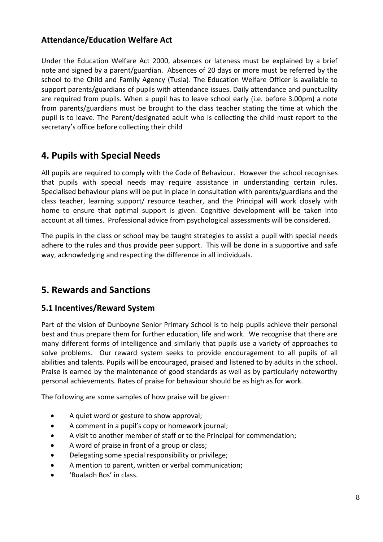#### **Attendance/Education Welfare Act**

Under the Education Welfare Act 2000, absences or lateness must be explained by a brief note and signed by a parent/guardian. Absences of 20 days or more must be referred by the school to the Child and Family Agency (Tusla). The Education Welfare Officer is available to support parents/guardians of pupils with attendance issues. Daily attendance and punctuality are required from pupils. When a pupil has to leave school early (i.e. before 3.00pm) a note from parents/guardians must be brought to the class teacher stating the time at which the pupil is to leave. The Parent/designated adult who is collecting the child must report to the secretary's office before collecting their child

## **4. Pupils with Special Needs**

All pupils are required to comply with the Code of Behaviour. However the school recognises that pupils with special needs may require assistance in understanding certain rules. Specialised behaviour plans will be put in place in consultation with parents/guardians and the class teacher, learning support/ resource teacher, and the Principal will work closely with home to ensure that optimal support is given. Cognitive development will be taken into account at all times. Professional advice from psychological assessments will be considered.

The pupils in the class or school may be taught strategies to assist a pupil with special needs adhere to the rules and thus provide peer support. This will be done in a supportive and safe way, acknowledging and respecting the difference in all individuals.

## **5. Rewards and Sanctions**

#### **5.1 Incentives/Reward System**

Part of the vision of Dunboyne Senior Primary School is to help pupils achieve their personal best and thus prepare them for further education, life and work. We recognise that there are many different forms of intelligence and similarly that pupils use a variety of approaches to solve problems. Our reward system seeks to provide encouragement to all pupils of all abilities and talents. Pupils will be encouraged, praised and listened to by adults in the school. Praise is earned by the maintenance of good standards as well as by particularly noteworthy personal achievements. Rates of praise for behaviour should be as high as for work.

The following are some samples of how praise will be given:

- A quiet word or gesture to show approval;
- A comment in a pupil's copy or homework journal;
- A visit to another member of staff or to the Principal for commendation;
- A word of praise in front of a group or class;
- Delegating some special responsibility or privilege;
- A mention to parent, written or verbal communication;
- 'Bualadh Bos' in class.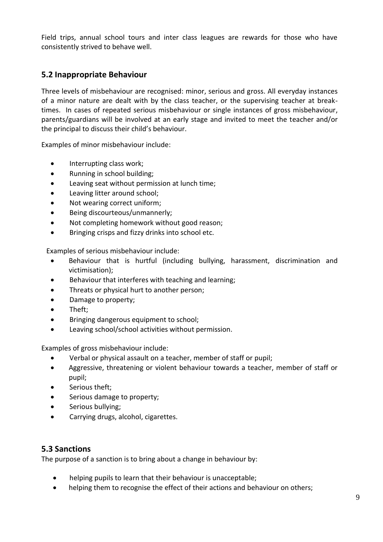Field trips, annual school tours and inter class leagues are rewards for those who have consistently strived to behave well.

#### **5.2 Inappropriate Behaviour**

Three levels of misbehaviour are recognised: minor, serious and gross. All everyday instances of a minor nature are dealt with by the class teacher, or the supervising teacher at breaktimes. In cases of repeated serious misbehaviour or single instances of gross misbehaviour, parents/guardians will be involved at an early stage and invited to meet the teacher and/or the principal to discuss their child's behaviour.

Examples of minor misbehaviour include:

- Interrupting class work;
- Running in school building;
- Leaving seat without permission at lunch time;
- Leaving litter around school;
- Not wearing correct uniform;
- Being discourteous/unmannerly;
- Not completing homework without good reason;
- Bringing crisps and fizzy drinks into school etc.

Examples of serious misbehaviour include:

- Behaviour that is hurtful (including bullying, harassment, discrimination and victimisation);
- Behaviour that interferes with teaching and learning;
- Threats or physical hurt to another person;
- Damage to property;
- Theft;
- Bringing dangerous equipment to school;
- Leaving school/school activities without permission.

Examples of gross misbehaviour include:

- Verbal or physical assault on a teacher, member of staff or pupil;
- Aggressive, threatening or violent behaviour towards a teacher, member of staff or pupil;
- Serious theft:
- Serious damage to property;
- Serious bullying;
- Carrying drugs, alcohol, cigarettes.

#### **5.3 Sanctions**

The purpose of a sanction is to bring about a change in behaviour by:

- helping pupils to learn that their behaviour is unacceptable;
- helping them to recognise the effect of their actions and behaviour on others;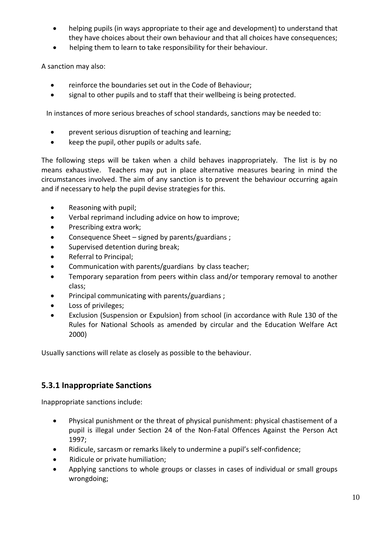- helping pupils (in ways appropriate to their age and development) to understand that they have choices about their own behaviour and that all choices have consequences;
- helping them to learn to take responsibility for their behaviour.

A sanction may also:

- reinforce the boundaries set out in the Code of Behaviour;
- signal to other pupils and to staff that their wellbeing is being protected.

In instances of more serious breaches of school standards, sanctions may be needed to:

- prevent serious disruption of teaching and learning;
- keep the pupil, other pupils or adults safe.

The following steps will be taken when a child behaves inappropriately. The list is by no means exhaustive. Teachers may put in place alternative measures bearing in mind the circumstances involved. The aim of any sanction is to prevent the behaviour occurring again and if necessary to help the pupil devise strategies for this.

- Reasoning with pupil;
- Verbal reprimand including advice on how to improve;
- Prescribing extra work;
- Consequence Sheet signed by parents/guardians ;
- Supervised detention during break;
- Referral to Principal;
- Communication with parents/guardians by class teacher;
- Temporary separation from peers within class and/or temporary removal to another class;
- Principal communicating with parents/guardians ;
- Loss of privileges;
- Exclusion (Suspension or Expulsion) from school (in accordance with Rule 130 of the Rules for National Schools as amended by circular and the Education Welfare Act 2000)

Usually sanctions will relate as closely as possible to the behaviour.

#### **5.3.1 Inappropriate Sanctions**

Inappropriate sanctions include:

- Physical punishment or the threat of physical punishment: physical chastisement of a pupil is illegal under Section 24 of the Non-Fatal Offences Against the Person Act 1997;
- Ridicule, sarcasm or remarks likely to undermine a pupil's self-confidence;
- Ridicule or private humiliation;
- Applying sanctions to whole groups or classes in cases of individual or small groups wrongdoing;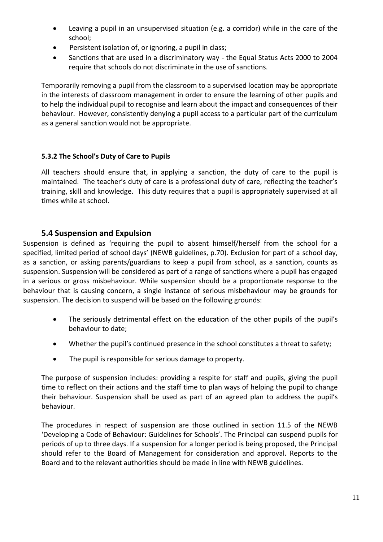- Leaving a pupil in an unsupervised situation (e.g. a corridor) while in the care of the school;
- Persistent isolation of, or ignoring, a pupil in class;
- Sanctions that are used in a discriminatory way the Equal Status Acts 2000 to 2004 require that schools do not discriminate in the use of sanctions.

Temporarily removing a pupil from the classroom to a supervised location may be appropriate in the interests of classroom management in order to ensure the learning of other pupils and to help the individual pupil to recognise and learn about the impact and consequences of their behaviour. However, consistently denying a pupil access to a particular part of the curriculum as a general sanction would not be appropriate.

#### **5.3.2 The School's Duty of Care to Pupils**

All teachers should ensure that, in applying a sanction, the duty of care to the pupil is maintained. The teacher's duty of care is a professional duty of care, reflecting the teacher's training, skill and knowledge. This duty requires that a pupil is appropriately supervised at all times while at school.

#### **5.4 Suspension and Expulsion**

Suspension is defined as 'requiring the pupil to absent himself/herself from the school for a specified, limited period of school days' (NEWB guidelines, p.70). Exclusion for part of a school day, as a sanction, or asking parents/guardians to keep a pupil from school, as a sanction, counts as suspension. Suspension will be considered as part of a range of sanctions where a pupil has engaged in a serious or gross misbehaviour. While suspension should be a proportionate response to the behaviour that is causing concern, a single instance of serious misbehaviour may be grounds for suspension. The decision to suspend will be based on the following grounds:

- The seriously detrimental effect on the education of the other pupils of the pupil's behaviour to date;
- Whether the pupil's continued presence in the school constitutes a threat to safety;
- The pupil is responsible for serious damage to property.

The purpose of suspension includes: providing a respite for staff and pupils, giving the pupil time to reflect on their actions and the staff time to plan ways of helping the pupil to change their behaviour. Suspension shall be used as part of an agreed plan to address the pupil's behaviour.

The procedures in respect of suspension are those outlined in section 11.5 of the NEWB 'Developing a Code of Behaviour: Guidelines for Schools'. The Principal can suspend pupils for periods of up to three days. If a suspension for a longer period is being proposed, the Principal should refer to the Board of Management for consideration and approval. Reports to the Board and to the relevant authorities should be made in line with NEWB guidelines.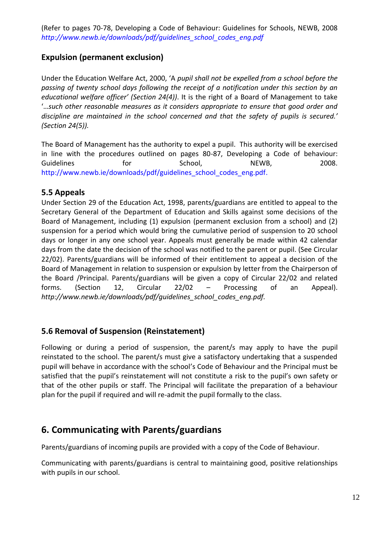(Refer to pages 70-78, Developing a Code of Behaviour: Guidelines for Schools, NEWB, 2008 *[http://www.newb.ie/downloads/pdf/guidelines\\_school\\_codes\\_eng.pdf](http://www.newb.ie/downloads/pdf/guidelines_school_codes_eng.pdf)*

#### **Expulsion (permanent exclusion)**

Under the Education Welfare Act, 2000, 'A *pupil shall not be expelled from a school before the passing of twenty school days following the receipt of a notification under this section by an educational welfare officer' (Section 24(4))*. It is the right of a Board of Management to take '…*such other reasonable measures as it considers appropriate to ensure that good order and discipline are maintained in the school concerned and that the safety of pupils is secured.' (Section 24(5)).*

The Board of Management has the authority to expel a pupil. This authority will be exercised in line with the procedures outlined on pages 80-87, Developing a Code of behaviour: Guidelines **Exercise for** School, NEWB, 2008. [http://www.newb.ie/downloads/pdf/guidelines\\_school\\_codes\\_eng.pdf.](http://www.newb.ie/downloads/pdf/guidelines_school_codes_eng.pdf)

#### **5.5 Appeals**

Under Section 29 of the Education Act, 1998, parents/guardians are entitled to appeal to the Secretary General of the Department of Education and Skills against some decisions of the Board of Management, including (1) expulsion (permanent exclusion from a school) and (2) suspension for a period which would bring the cumulative period of suspension to 20 school days or longer in any one school year. Appeals must generally be made within 42 calendar days from the date the decision of the school was notified to the parent or pupil. (See Circular 22/02). Parents/guardians will be informed of their entitlement to appeal a decision of the Board of Management in relation to suspension or expulsion by letter from the Chairperson of the Board /Principal. Parents/guardians will be given a copy of Circular 22/02 and related forms. (Section 12, Circular 22/02 – Processing of an Appeal). *http://www.newb.ie/downloads/pdf/guidelines\_school\_codes\_eng.pdf.* 

#### **5.6 Removal of Suspension (Reinstatement)**

Following or during a period of suspension, the parent/s may apply to have the pupil reinstated to the school. The parent/s must give a satisfactory undertaking that a suspended pupil will behave in accordance with the school's Code of Behaviour and the Principal must be satisfied that the pupil's reinstatement will not constitute a risk to the pupil's own safety or that of the other pupils or staff. The Principal will facilitate the preparation of a behaviour plan for the pupil if required and will re-admit the pupil formally to the class.

## **6. Communicating with Parents/guardians**

Parents/guardians of incoming pupils are provided with a copy of the Code of Behaviour.

Communicating with parents/guardians is central to maintaining good, positive relationships with pupils in our school.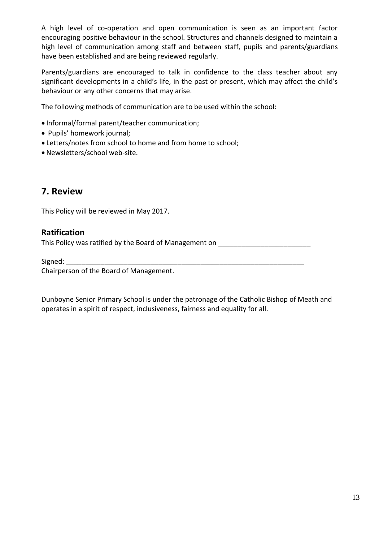A high level of co-operation and open communication is seen as an important factor encouraging positive behaviour in the school. Structures and channels designed to maintain a high level of communication among staff and between staff, pupils and parents/guardians have been established and are being reviewed regularly.

Parents/guardians are encouraged to talk in confidence to the class teacher about any significant developments in a child's life, in the past or present, which may affect the child's behaviour or any other concerns that may arise.

The following methods of communication are to be used within the school:

- Informal/formal parent/teacher communication;
- Pupils' homework journal;
- Letters/notes from school to home and from home to school;
- Newsletters/school web-site.

#### **7. Review**

This Policy will be reviewed in May 2017.

#### **Ratification**

This Policy was ratified by the Board of Management on

Signed:

Chairperson of the Board of Management.

Dunboyne Senior Primary School is under the patronage of the Catholic Bishop of Meath and operates in a spirit of respect, inclusiveness, fairness and equality for all.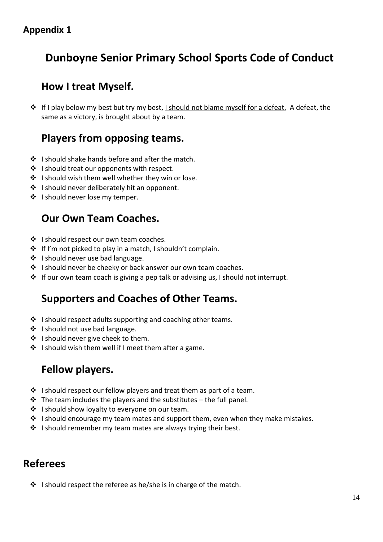## **Appendix 1**

## **Dunboyne Senior Primary School Sports Code of Conduct**

## **How I treat Myself.**

❖ If I play below my best but try my best, I should not blame myself for a defeat. A defeat, the same as a victory, is brought about by a team.

## **Players from opposing teams.**

- ❖ I should shake hands before and after the match.
- ❖ I should treat our opponents with respect.
- ❖ I should wish them well whether they win or lose.
- ❖ I should never deliberately hit an opponent.
- ❖ I should never lose my temper.

## **Our Own Team Coaches.**

- ❖ I should respect our own team coaches.
- ❖ If I'm not picked to play in a match, I shouldn't complain.
- ❖ I should never use bad language.
- ❖ I should never be cheeky or back answer our own team coaches.
- ❖ If our own team coach is giving a pep talk or advising us, I should not interrupt.

## **Supporters and Coaches of Other Teams.**

- ❖ I should respect adults supporting and coaching other teams.
- ❖ I should not use bad language.
- ❖ I should never give cheek to them.
- ❖ I should wish them well if I meet them after a game.

## **Fellow players.**

- ❖ I should respect our fellow players and treat them as part of a team.
- ❖ The team includes the players and the substitutes the full panel.
- ❖ I should show loyalty to everyone on our team.
- ❖ I should encourage my team mates and support them, even when they make mistakes.
- ❖ I should remember my team mates are always trying their best.

## **Referees**

❖ I should respect the referee as he/she is in charge of the match.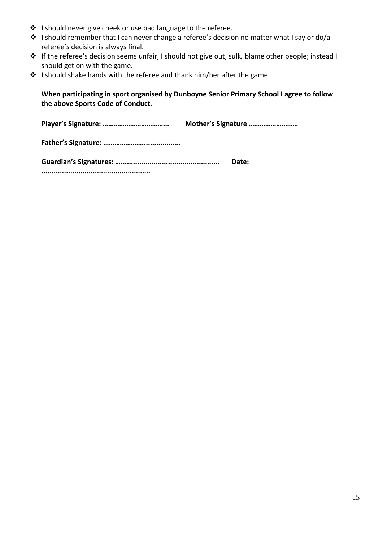- ❖ I should never give cheek or use bad language to the referee.
- ❖ I should remember that I can never change a referee's decision no matter what I say or do/a referee's decision is always final.
- ❖ If the referee's decision seems unfair, I should not give out, sulk, blame other people; instead I should get on with the game.
- ❖ I should shake hands with the referee and thank him/her after the game.

**When participating in sport organised by Dunboyne Senior Primary School I agree to follow the above Sports Code of Conduct.**

**Player's Signature: ……………………………... Mother's Signature ………………………**

**Father's Signature: …………………...................**

| Date: |
|-------|
|       |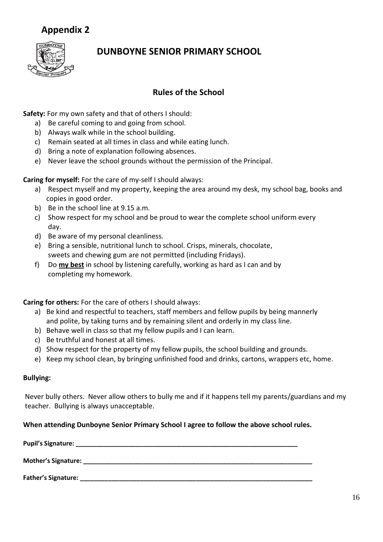## **Appendix 2**



## **DUNBOYNE SENIOR PRIMARY SCHOOL**

#### **Rules of the School**

**Safety:** For my own safety and that of others I should:

- a) Be careful coming to and going from school.
- b) Always walk while in the school building.
- c) Remain seated at all times in class and while eating lunch.
- d) Bring a note of explanation following absences.
- e) Never leave the school grounds without the permission of the Principal.

**Caring for myself:** For the care of my-self I should always:

- a) Respect myself and my property, keeping the area around my desk, my school bag, books and copies in good order.
- b) Be in the school line at 9.15 a.m.
- c) Show respect for my school and be proud to wear the complete school uniform every day.
- d) Be aware of my personal cleanliness.
- e) Bring a sensible, nutritional lunch to school. Crisps, minerals, chocolate, sweets and chewing gum are not permitted (including Fridays).
- f) Do **my best** in school by listening carefully, working as hard as I can and by completing my homework.

**Caring for others:** For the care of others I should always:

- a) Be kind and respectful to teachers, staff members and fellow pupils by being mannerly and polite, by taking turns and by remaining silent and orderly in my class line.
- b) Behave well in class so that my fellow pupils and I can learn.
- c) Be truthful and honest at all times.
- d) Show respect for the property of my fellow pupils, the school building and grounds.
- e) Keep my school clean, by bringing unfinished food and drinks, cartons, wrappers etc, home.

#### **Bullying:**

Never bully others. Never allow others to bully me and if it happens tell my parents/guardians and my teacher. Bullying is always unacceptable.

#### **When attending Dunboyne Senior Primary School I agree to follow the above school rules.**

| Pupil's Signature:         |  |
|----------------------------|--|
| Mother's Signature:        |  |
| <b>Father's Signature:</b> |  |